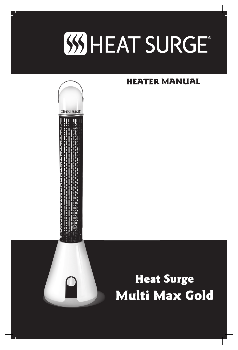

**SHEAT SURGE** 

# HEATER MANUAL

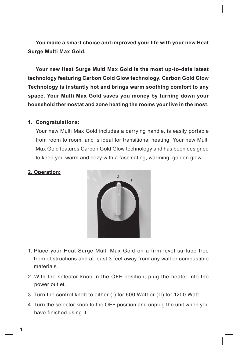**You made a smart choice and improved your life with your new Heat Surge Multi Max Gold.**

**Your new Heat Surge Multi Max Gold is the most up-to-date latest technology featuring Carbon Gold Glow technology. Carbon Gold Glow Technology is instantly hot and brings warm soothing comfort to any space. Your Multi Max Gold saves you money by turning down your household thermostat and zone heating the rooms your live in the most.**

#### **1. Congratulations:**

Your new Multi Max Gold includes a carrying handle, is easily portable from room to room, and is ideal for transitional heating. Your new Multi Max Gold features Carbon Gold Glow technology and has been designed to keep you warm and cozy with a fascinating, warming, golden glow.

### **2. Operation:**



- 1. Place your Heat Surge Multi Max Gold on a firm level surface free from obstructions and at least 3 feet away from any wall or combustible materials.
- 2. With the selector knob in the OFF position, plug the heater into the power outlet.
- 3. Turn the control knob to either (I) for 600 Watt or (II) for 1200 Watt.
- 4. Turn the selector knob to the OFF position and unplug the unit when you have finished using it.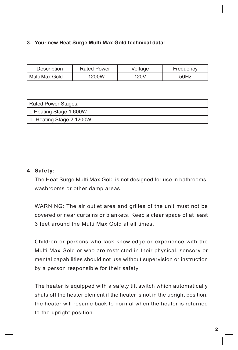# **3. Your new Heat Surge Multi Max Gold technical data:**

| Description      | <b>Rated Power</b> | Voltage | Frequency |
|------------------|--------------------|---------|-----------|
| l Multi Max Gold | 1200W              | 120V    | 50Hz      |

| Rated Power Stages:       |
|---------------------------|
| I. Heating Stage 1 600W   |
| II. Heating Stage 2 1200W |

## **4. Safety:**

The Heat Surge Multi Max Gold is not designed for use in bathrooms, washrooms or other damp areas.

WARNING: The air outlet area and grilles of the unit must not be covered or near curtains or blankets. Keep a clear space of at least 3 feet around the Multi Max Gold at all times.

Children or persons who lack knowledge or experience with the Multi Max Gold or who are restricted in their physical, sensory or mental capabilities should not use without supervision or instruction by a person responsible for their safety.

The heater is equipped with a safety tilt switch which automatically shuts off the heater element if the heater is not in the upright position, the heater will resume back to normal when the heater is returned to the upright position.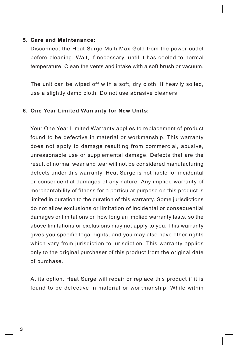#### **5. Care and Maintenance:**

Disconnect the Heat Surge Multi Max Gold from the power outlet before cleaning. Wait, if necessary, until it has cooled to normal temperature. Clean the vents and intake with a soft brush or vacuum.

The unit can be wiped off with a soft, dry cloth. If heavily soiled, use a slightly damp cloth. Do not use abrasive cleaners.

#### **6. One Year Limited Warranty for New Units:**

Your One Year Limited Warranty applies to replacement of product found to be defective in material or workmanship. This warranty does not apply to damage resulting from commercial, abusive, unreasonable use or supplemental damage. Defects that are the result of normal wear and tear will not be considered manufacturing defects under this warranty. Heat Surge is not liable for incidental or consequential damages of any nature. Any implied warranty of merchantability of fitness for a particular purpose on this product is limited in duration to the duration of this warranty. Some jurisdictions do not allow exclusions or limitation of incidental or consequential damages or limitations on how long an implied warranty lasts, so the above limitations or exclusions may not apply to you. This warranty gives you specific legal rights, and you may also have other rights which vary from jurisdiction to jurisdiction. This warranty applies only to the original purchaser of this product from the original date of purchase.

At its option, Heat Surge will repair or replace this product if it is found to be defective in material or workmanship. While within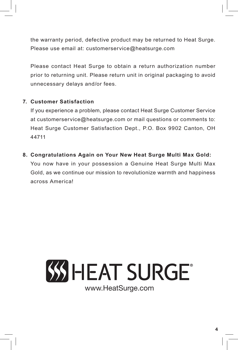the warranty period, defective product may be returned to Heat Surge. Please use email at: customerservice@heatsurge.com

Please contact Heat Surge to obtain a return authorization number prior to returning unit. Please return unit in original packaging to avoid unnecessary delays and/or fees.

# **7. Customer Satisfaction**

If you experience a problem, please contact Heat Surge Customer Service at customerservice@heatsurge.com or mail questions or comments to: Heat Surge Customer Satisfaction Dept., P.O. Box 9902 Canton, OH 44711

**8. Congratulations Again on Your New Heat Surge Multi Max Gold:**

You now have in your possession a Genuine Heat Surge Multi Max Gold, as we continue our mission to revolutionize warmth and happiness across America!